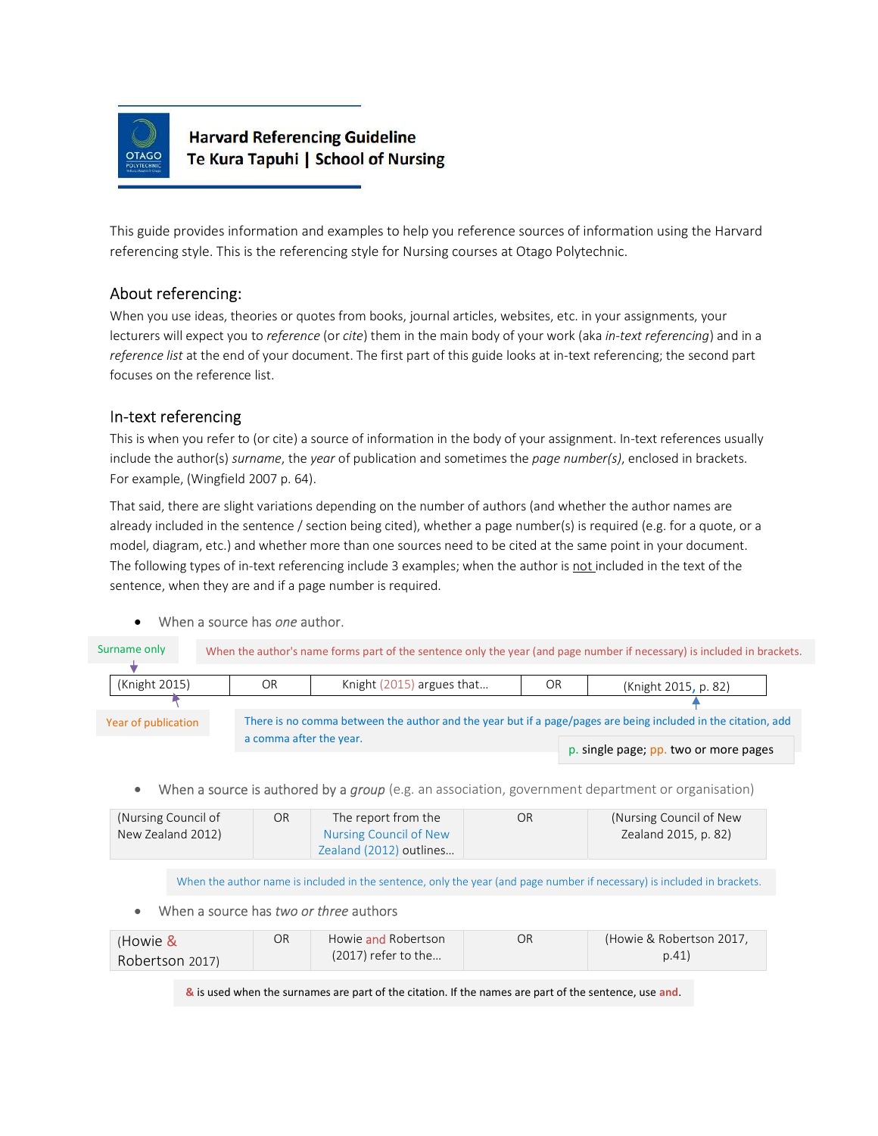

# **Harvard Referencing Guideline** Te Kura Tapuhi | School of Nursing

This guide provides information and examples to help you reference sources of information using the Harvard referencing style. This is the referencing style for Nursing courses at Otago Polytechnic.

## About referencing:

When you use ideas, theories or quotes from books, journal articles, websites, etc. in your assignments, your lecturers will expect you to reference (or cite) them in the main body of your work (aka in-text referencing) and in a reference list at the end of your document. The first part of this guide looks at in-text referencing; the second part focuses on the reference list.

## In-text referencing

This is when you refer to (or cite) a source of information in the body of your assignment. In-text references usually include the author(s) surname, the year of publication and sometimes the page number(s), enclosed in brackets. For example, (Wingfield 2007 p. 64).

That said, there are slight variations depending on the number of authors (and whether the author names are already included in the sentence / section being cited), whether a page number(s) is required (e.g. for a quote, or a model, diagram, etc.) and whether more than one sources need to be cited at the same point in your document. The following types of in-text referencing include 3 examples; when the author is not included in the text of the sentence, when they are and if a page number is required.

## When a source has one author.

| Surname only            | When the author's name forms part of the sentence only the year (and page number if necessary) is included in brackets. |    |                                                                                                               |    |                                       |  |  |
|-------------------------|-------------------------------------------------------------------------------------------------------------------------|----|---------------------------------------------------------------------------------------------------------------|----|---------------------------------------|--|--|
| (Knight 2015)           |                                                                                                                         | OR | Knight (2015) argues that                                                                                     | OR | (Knight 2015, p. 82)                  |  |  |
|                         |                                                                                                                         |    |                                                                                                               |    |                                       |  |  |
| Year of publication     |                                                                                                                         |    | There is no comma between the author and the year but if a page/pages are being included in the citation, add |    |                                       |  |  |
| a comma after the year. |                                                                                                                         |    |                                                                                                               |    | p. single page; pp. two or more pages |  |  |

When a source is authored by a group (e.g. an association, government department or organisation)

| (Nursing Council of | OR | The report from the     | OR | (Nursing Council of New) |
|---------------------|----|-------------------------|----|--------------------------|
| New Zealand 2012)   |    | Nursing Council of New  |    | Zealand 2015, p. 82)     |
|                     |    | Zealand (2012) outlines |    |                          |

When the author name is included in the sentence, only the year (and page number if necessary) is included in brackets.

## When a source has two or three authors

| (Howie &        | OR | Howie and Robertson   | ОR | (Howie & Robertson 2017. |
|-----------------|----|-----------------------|----|--------------------------|
| Robertson 2017) |    | $(2017)$ refer to the |    | p.41)                    |

& is used when the surnames are part of the citation. If the names are part of the sentence, use and.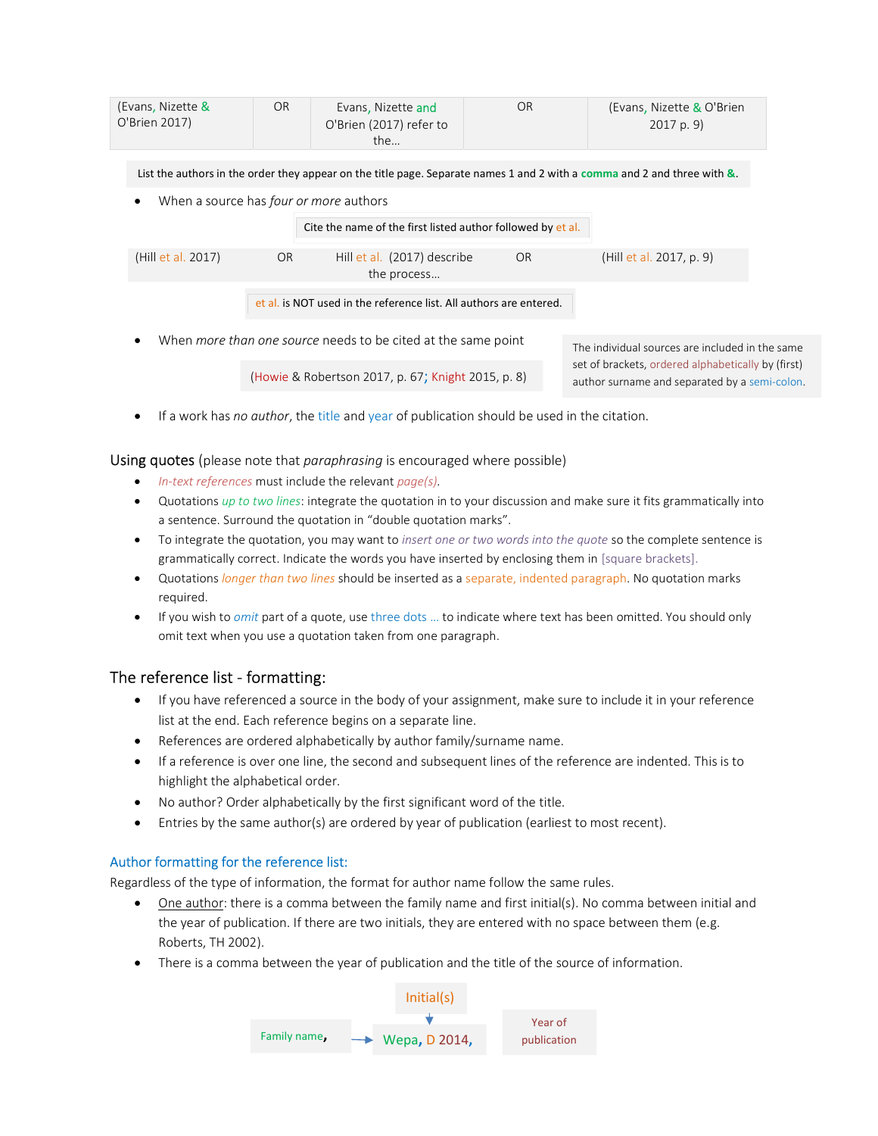| (Evans, Nizette &<br>O'Brien 2017)          | OR.       | Evans, Nizette and<br>O'Brien (2017) refer to<br>the                 | <b>OR</b> | (Evans, Nizette & O'Brien<br>2017 p. 9                                                                                   |
|---------------------------------------------|-----------|----------------------------------------------------------------------|-----------|--------------------------------------------------------------------------------------------------------------------------|
|                                             |           |                                                                      |           | List the authors in the order they appear on the title page. Separate names 1 and 2 with a comma and 2 and three with &. |
| When a source has four or more authors<br>٠ |           |                                                                      |           |                                                                                                                          |
|                                             |           | Cite the name of the first listed author followed by et al.          |           |                                                                                                                          |
| (Hill et al. 2017)                          | <b>OR</b> | Hill et al. (2017) describe<br>the process                           | <b>OR</b> | (Hill et al. 2017, p. 9)                                                                                                 |
|                                             |           | et al. is NOT used in the reference list. All authors are entered.   |           |                                                                                                                          |
|                                             |           | When <i>more than one source</i> needs to be cited at the same point |           | The individual sources are included in the same                                                                          |

(Howie & Robertson 2017, p. 67; Knight 2015, p. 8)

The individual sources are included in the same set of brackets, ordered alphabetically by (first) author surname and separated by a semi-colon.

• If a work has no author, the title and year of publication should be used in the citation.

Using quotes (please note that *paraphrasing* is encouraged where possible)

- $\bullet$  In-text references must include the relevant page(s).
- Quotations up to two lines: integrate the quotation in to your discussion and make sure it fits grammatically into a sentence. Surround the quotation in "double quotation marks".
- To integrate the quotation, you may want to insert one or two words into the quote so the complete sentence is grammatically correct. Indicate the words you have inserted by enclosing them in [square brackets].
- Quotations *longer than two lines* should be inserted as a separate, indented paragraph. No quotation marks required.
- If you wish to *omit* part of a quote, use three dots ... to indicate where text has been omitted. You should only omit text when you use a quotation taken from one paragraph.

## The reference list - formatting:

- If you have referenced a source in the body of your assignment, make sure to include it in your reference list at the end. Each reference begins on a separate line.
- References are ordered alphabetically by author family/surname name.
- If a reference is over one line, the second and subsequent lines of the reference are indented. This is to highlight the alphabetical order.
- No author? Order alphabetically by the first significant word of the title.
- Entries by the same author(s) are ordered by year of publication (earliest to most recent).

## Author formatting for the reference list:

Regardless of the type of information, the format for author name follow the same rules.

- One author: there is a comma between the family name and first initial(s). No comma between initial and the year of publication. If there are two initials, they are entered with no space between them (e.g. Roberts, TH 2002).
- There is a comma between the year of publication and the title of the source of information.

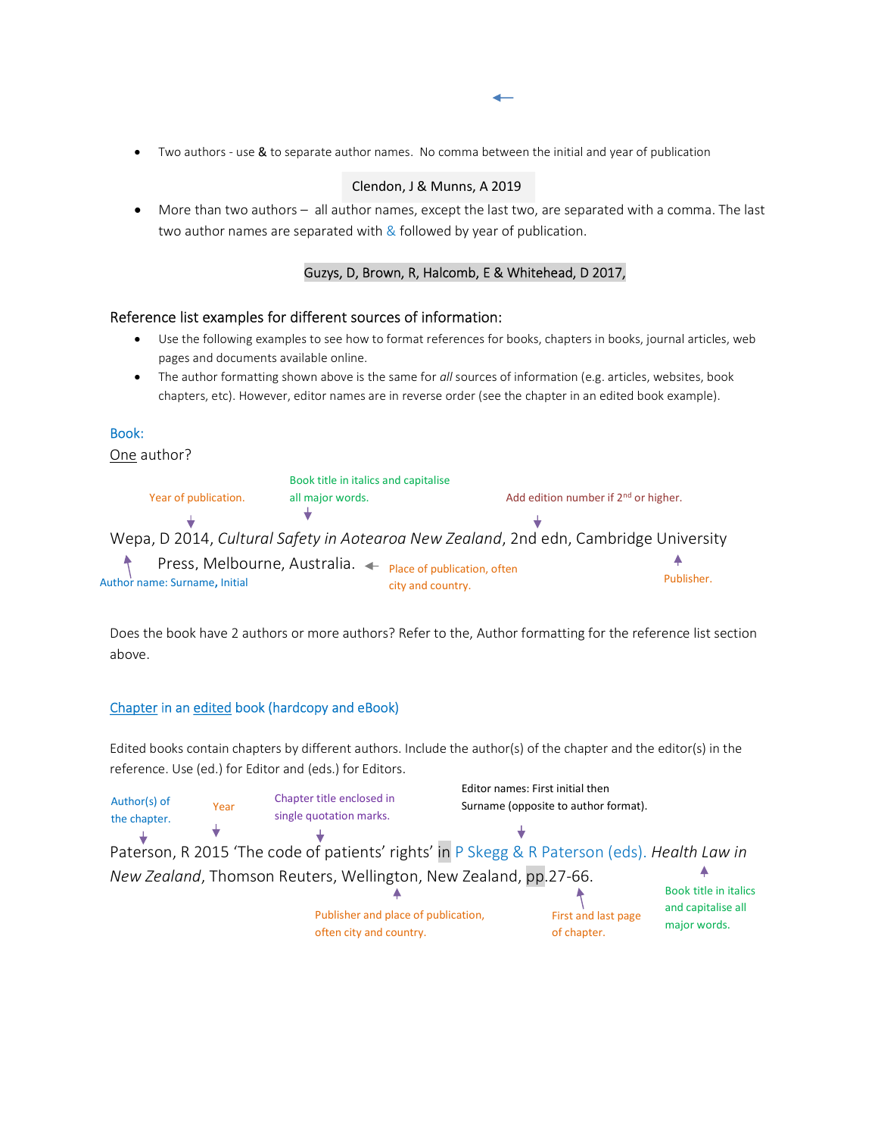Two authors - use & to separate author names. No comma between the initial and year of publication

#### Clendon, J & Munns, A 2019

 More than two authors – all author names, except the last two, are separated with a comma. The last two author names are separated with  $\&$  followed by year of publication.

#### Guzys, D, Brown, R, Halcomb, E & Whitehead, D 2017,

#### Reference list examples for different sources of information:

- Use the following examples to see how to format references for books, chapters in books, journal articles, web pages and documents available online.
- The author formatting shown above is the same for all sources of information (e.g. articles, websites, book chapters, etc). However, editor names are in reverse order (see the chapter in an edited book example).

#### Book:

One author?

|                                                            | Book title in italics and capitalise |                   |                                                                                      |            |
|------------------------------------------------------------|--------------------------------------|-------------------|--------------------------------------------------------------------------------------|------------|
| Year of publication.                                       | all major words.                     |                   | Add edition number if 2 <sup>nd</sup> or higher.                                     |            |
|                                                            |                                      |                   |                                                                                      |            |
|                                                            |                                      |                   | Wepa, D 2014, Cultural Safety in Aotearoa New Zealand, 2nd edn, Cambridge University |            |
| Press, Melbourne, Australia. ← Place of publication, often |                                      |                   |                                                                                      |            |
| Author name: Surname, Initial                              |                                      | city and country. |                                                                                      | Publisher. |

Does the book have 2 authors or more authors? Refer to the, Author formatting for the reference list section above.

#### Chapter in an edited book (hardcopy and eBook)

Edited books contain chapters by different authors. Include the author(s) of the chapter and the editor(s) in the reference. Use (ed.) for Editor and (eds.) for Editors.

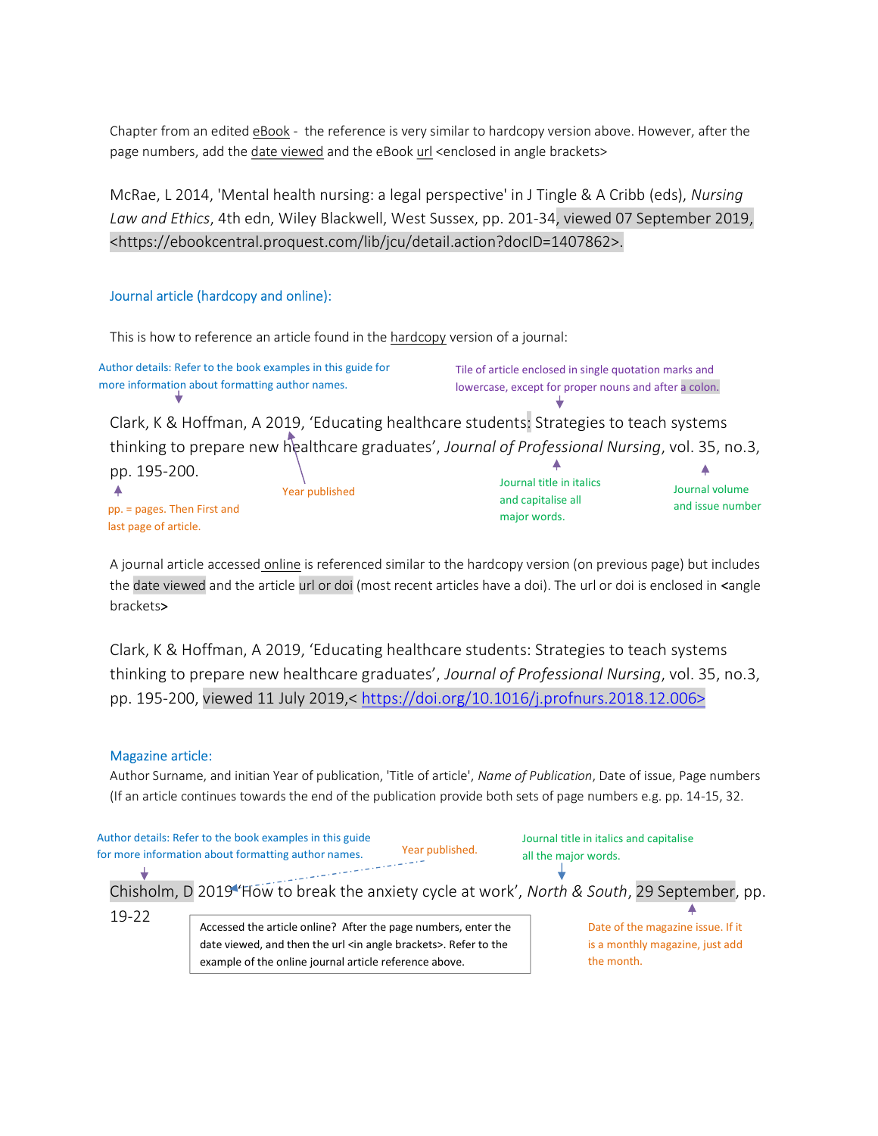Chapter from an edited eBook - the reference is very similar to hardcopy version above. However, after the page numbers, add the date viewed and the eBook url <enclosed in angle brackets>

McRae, L 2014, 'Mental health nursing: a legal perspective' in J Tingle & A Cribb (eds), Nursing Law and Ethics, 4th edn, Wiley Blackwell, West Sussex, pp. 201-34, viewed 07 September 2019, <https://ebookcentral.proquest.com/lib/jcu/detail.action?docID=1407862>.

## Journal article (hardcopy and online):

This is how to reference an article found in the hardcopy version of a journal:

Author details: Refer to the book examples in this guide for more information about formatting author names.

Tile of article enclosed in single quotation marks and lowercase, except for proper nouns and after a colon.

Clark, K & Hoffman, A 2019, 'Educating healthcare students: Strategies to teach systems thinking to prepare new healthcare graduates', Journal of Professional Nursing, vol. 35, no.3,

| pp. 195-200.<br>Journal title in italics<br>Journal volume<br>Year published                                   |  |
|----------------------------------------------------------------------------------------------------------------|--|
| and capitalise all<br>and issue number<br>pp. = pages. Then First and<br>major words.<br>last page of article. |  |

A journal article accessed online is referenced similar to the hardcopy version (on previous page) but includes the date viewed and the article url or doi (most recent articles have a doi). The url or doi is enclosed in <angle brackets>

Clark, K & Hoffman, A 2019, 'Educating healthcare students: Strategies to teach systems thinking to prepare new healthcare graduates', Journal of Professional Nursing, vol. 35, no.3, pp. 195-200, viewed 11 July 2019,< https://doi.org/10.1016/j.profnurs.2018.12.006>

#### Magazine article:

Author Surname, and initian Year of publication, 'Title of article', Name of Publication, Date of issue, Page numbers (If an article continues towards the end of the publication provide both sets of page numbers e.g. pp. 14-15, 32.

|           | Author details: Refer to the book examples in this guide<br>Year published.<br>for more information about formatting author names. | Journal title in italics and capitalise<br>all the major words. |
|-----------|------------------------------------------------------------------------------------------------------------------------------------|-----------------------------------------------------------------|
|           | Chisholm, D 2019 <sup>4</sup> How to break the anxiety cycle at work', North & South, 29 September, pp.                            |                                                                 |
| $19 - 22$ |                                                                                                                                    |                                                                 |
|           | Accessed the article online? After the page numbers, enter the                                                                     | Date of the magazine issue. If it                               |
|           | date viewed, and then the url <in angle="" brackets="">. Refer to the</in>                                                         | is a monthly magazine, just add                                 |
|           | example of the online journal article reference above.                                                                             | the month.                                                      |